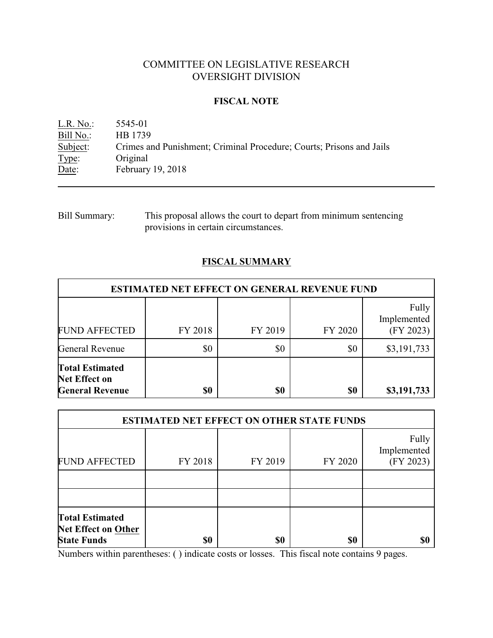# COMMITTEE ON LEGISLATIVE RESEARCH OVERSIGHT DIVISION

## **FISCAL NOTE**

L.R. No.: 5545-01 Bill No.: HB 1739<br>Subject: Crimes are Crimes and Punishment; Criminal Procedure; Courts; Prisons and Jails Type: Original Date: February 19, 2018

Bill Summary: This proposal allows the court to depart from minimum sentencing provisions in certain circumstances.

# **FISCAL SUMMARY**

| <b>ESTIMATED NET EFFECT ON GENERAL REVENUE FUND</b>                      |         |         |         |                                   |  |  |  |  |  |  |
|--------------------------------------------------------------------------|---------|---------|---------|-----------------------------------|--|--|--|--|--|--|
| <b>FUND AFFECTED</b>                                                     | FY 2018 | FY 2019 | FY 2020 | Fully<br>Implemented<br>(FY 2023) |  |  |  |  |  |  |
| General Revenue                                                          | \$0     | \$0     | \$0     | \$3,191,733                       |  |  |  |  |  |  |
| <b>Total Estimated</b><br><b>Net Effect on</b><br><b>General Revenue</b> | \$0     | \$0     | \$0     | \$3,191,733                       |  |  |  |  |  |  |

| <b>ESTIMATED NET EFFECT ON OTHER STATE FUNDS</b>                           |         |         |         |                                   |  |  |  |  |  |  |
|----------------------------------------------------------------------------|---------|---------|---------|-----------------------------------|--|--|--|--|--|--|
| <b>FUND AFFECTED</b>                                                       | FY 2018 | FY 2019 | FY 2020 | Fully<br>Implemented<br>(FY 2023) |  |  |  |  |  |  |
|                                                                            |         |         |         |                                   |  |  |  |  |  |  |
|                                                                            |         |         |         |                                   |  |  |  |  |  |  |
| <b>Total Estimated</b><br><b>Net Effect on Other</b><br><b>State Funds</b> | \$0     | \$0     | \$0     | \$0                               |  |  |  |  |  |  |

Numbers within parentheses: ( ) indicate costs or losses. This fiscal note contains 9 pages.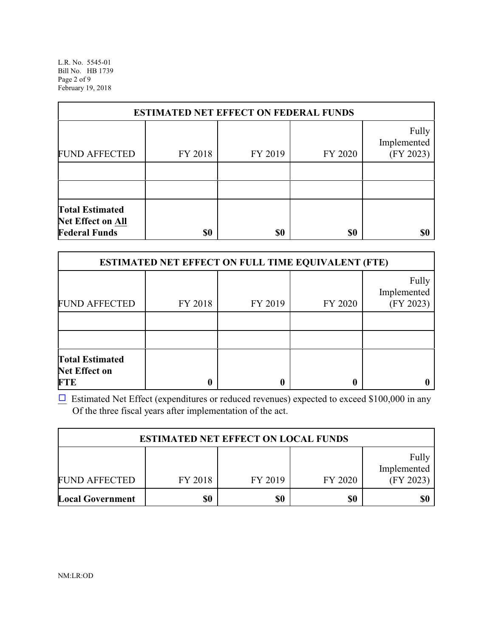L.R. No. 5545-01 Bill No. HB 1739 Page 2 of 9 February 19, 2018

| <b>ESTIMATED NET EFFECT ON FEDERAL FUNDS</b>                               |         |         |         |                                   |  |  |  |  |  |  |
|----------------------------------------------------------------------------|---------|---------|---------|-----------------------------------|--|--|--|--|--|--|
| <b>FUND AFFECTED</b>                                                       | FY 2018 | FY 2019 | FY 2020 | Fully<br>Implemented<br>(FY 2023) |  |  |  |  |  |  |
|                                                                            |         |         |         |                                   |  |  |  |  |  |  |
|                                                                            |         |         |         |                                   |  |  |  |  |  |  |
| <b>Total Estimated</b><br><b>Net Effect on All</b><br><b>Federal Funds</b> | \$0     | \$0     | \$0     |                                   |  |  |  |  |  |  |

| <b>ESTIMATED NET EFFECT ON FULL TIME EQUIVALENT (FTE)</b>    |         |         |         |                                   |  |  |  |  |  |  |
|--------------------------------------------------------------|---------|---------|---------|-----------------------------------|--|--|--|--|--|--|
| <b>FUND AFFECTED</b>                                         | FY 2018 | FY 2019 | FY 2020 | Fully<br>Implemented<br>(FY 2023) |  |  |  |  |  |  |
|                                                              |         |         |         |                                   |  |  |  |  |  |  |
|                                                              |         |         |         |                                   |  |  |  |  |  |  |
| <b>Total Estimated</b><br><b>Net Effect on</b><br><b>FTE</b> | 0       | 0       |         |                                   |  |  |  |  |  |  |

 $\Box$  Estimated Net Effect (expenditures or reduced revenues) expected to exceed \$100,000 in any Of the three fiscal years after implementation of the act.

| <b>ESTIMATED NET EFFECT ON LOCAL FUNDS</b> |         |         |         |                                   |  |  |  |  |  |
|--------------------------------------------|---------|---------|---------|-----------------------------------|--|--|--|--|--|
| <b>FUND AFFECTED</b>                       | FY 2018 | FY 2019 | FY 2020 | Fully<br>Implemented<br>(FY 2023) |  |  |  |  |  |
| <b>Local Government</b>                    | \$0     | \$0     | \$0     | \$0                               |  |  |  |  |  |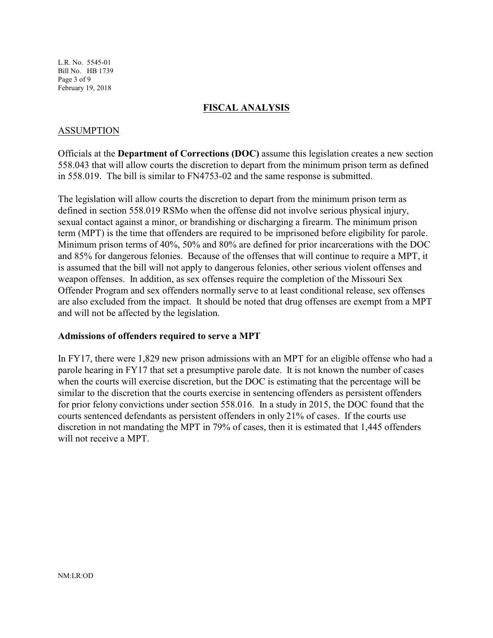L.R. No. 5545-01 Bill No. HB 1739 Page 3 of 9 February 19, 2018

### **FISCAL ANALYSIS**

## ASSUMPTION

Officials at the **Department of Corrections (DOC)** assume this legislation creates a new section 558.043 that will allow courts the discretion to depart from the minimum prison term as defined in 558.019. The bill is similar to FN4753-02 and the same response is submitted.

The legislation will allow courts the discretion to depart from the minimum prison term as defined in section 558.019 RSMo when the offense did not involve serious physical injury, sexual contact against a minor, or brandishing or discharging a firearm. The minimum prison term (MPT) is the time that offenders are required to be imprisoned before eligibility for parole. Minimum prison terms of 40%, 50% and 80% are defined for prior incarcerations with the DOC and 85% for dangerous felonies. Because of the offenses that will continue to require a MPT, it is assumed that the bill will not apply to dangerous felonies, other serious violent offenses and weapon offenses. In addition, as sex offenses require the completion of the Missouri Sex Offender Program and sex offenders normally serve to at least conditional release, sex offenses are also excluded from the impact. It should be noted that drug offenses are exempt from a MPT and will not be affected by the legislation.

### **Admissions of offenders required to serve a MPT**

In FY17, there were 1,829 new prison admissions with an MPT for an eligible offense who had a parole hearing in FY17 that set a presumptive parole date. It is not known the number of cases when the courts will exercise discretion, but the DOC is estimating that the percentage will be similar to the discretion that the courts exercise in sentencing offenders as persistent offenders for prior felony convictions under section 558.016. In a study in 2015, the DOC found that the courts sentenced defendants as persistent offenders in only 21% of cases. If the courts use discretion in not mandating the MPT in 79% of cases, then it is estimated that 1,445 offenders will not receive a MPT.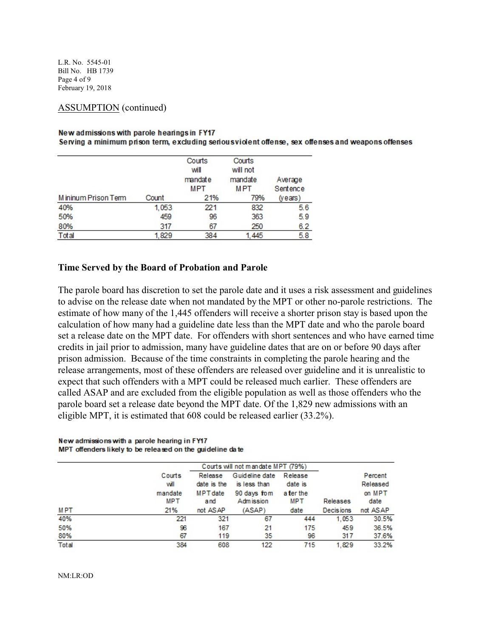L.R. No. 5545-01 Bill No. HB 1739 Page 4 of 9 February 19, 2018

### ASSUMPTION (continued)

#### New admissions with parole hearings in FY17

Serving a minimum prison term, excluding serious violent offense, sex offenses and weapons offenses

|                     |       | Courts<br>will<br>mandate<br>MPT | Courts<br>will not<br>mandate<br><b>MPT</b> | Average<br>Sentence |
|---------------------|-------|----------------------------------|---------------------------------------------|---------------------|
| Mininum Prison Term | Count | 21%                              | 79%                                         | ( <i>years</i> )    |
| 40%                 | 1,053 | 221                              | 832                                         | 5.6                 |
| 50%                 | 459   | 96                               | 363                                         | 5.9                 |
| 80%                 | 317   | 67                               | 250                                         | 6.2                 |
| Total               | 1.829 | 384                              | 445                                         | 5.8                 |

### **Time Served by the Board of Probation and Parole**

The parole board has discretion to set the parole date and it uses a risk assessment and guidelines to advise on the release date when not mandated by the MPT or other no-parole restrictions. The estimate of how many of the 1,445 offenders will receive a shorter prison stay is based upon the calculation of how many had a guideline date less than the MPT date and who the parole board set a release date on the MPT date. For offenders with short sentences and who have earned time credits in jail prior to admission, many have guideline dates that are on or before 90 days after prison admission. Because of the time constraints in completing the parole hearing and the release arrangements, most of these offenders are released over guideline and it is unrealistic to expect that such offenders with a MPT could be released much earlier. These offenders are called ASAP and are excluded from the eligible population as well as those offenders who the parole board set a release date beyond the MPT date. Of the 1,829 new admissions with an eligible MPT, it is estimated that 608 could be released earlier (33.2%).

#### New admissions with a parole hearing in FY17 MPT offenders likely to be released on the guideline date

|            | Courts will not mandate MPT (79%) |                                           |                                               |                                 |                  |                               |  |  |  |
|------------|-----------------------------------|-------------------------------------------|-----------------------------------------------|---------------------------------|------------------|-------------------------------|--|--|--|
|            | Courts<br>will<br>mandate         | Release<br>date is the<br><b>MPT</b> date | Guideline date<br>is less than<br>90 days fom | Release<br>date is<br>a ter the |                  | Percent<br>Released<br>on MPT |  |  |  |
|            | MPT                               | and                                       | Adm ission                                    | <b>MPT</b>                      | Releases         | date                          |  |  |  |
| <b>MPT</b> | 21%                               | not ASAP                                  | (ASAP)                                        | date                            | <b>Decisions</b> | not ASAP                      |  |  |  |
| 40%        | 221                               | 321                                       | 67                                            | 444                             | 1.053            | 30.5%                         |  |  |  |
| 50%        | 96                                | 167                                       | 21                                            | 175                             | 459              | 36.5%                         |  |  |  |
| 80%        | 67                                | 119                                       | 35                                            | 96                              | 317              | 37.6%                         |  |  |  |
| Total      | 384                               | 608                                       | 122                                           | 715                             | 1.829            | 33.2%                         |  |  |  |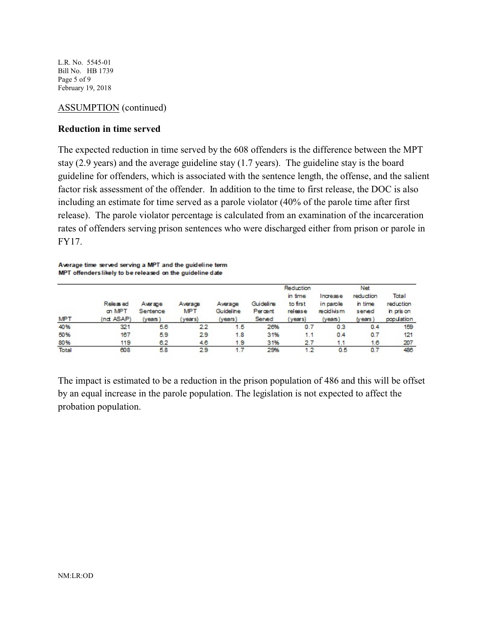L.R. No. 5545-01 Bill No. HB 1739 Page 5 of 9 February 19, 2018

### ASSUMPTION (continued)

### **Reduction in time served**

The expected reduction in time served by the 608 offenders is the difference between the MPT stay (2.9 years) and the average guideline stay (1.7 years). The guideline stay is the board guideline for offenders, which is associated with the sentence length, the offense, and the salient factor risk assessment of the offender. In addition to the time to first release, the DOC is also including an estimate for time served as a parole violator (40% of the parole time after first release). The parole violator percentage is calculated from an examination of the incarceration rates of offenders serving prison sentences who were discharged either from prison or parole in FY17.

Average time served serving a MPT and the guideline term MPT offenders likely to be released on the guideline date

| <b>MPT</b> | Released<br>on MPT<br>(nd ASAP) | Average<br>Sentence<br>$(\vee$ ears $)$ | Average<br><b>MPT</b><br>years) | Average<br>Guideline<br>(years) | Guideline<br>Percent<br>Served | Reduction<br>in time<br>to first<br>release<br>years) | Increase<br>in parole<br>recidivism<br>$(\vee$ ears $)$ | Net<br>reduction<br>in time<br>served<br>(years) | Total<br>reduction<br>in pris on<br>population |
|------------|---------------------------------|-----------------------------------------|---------------------------------|---------------------------------|--------------------------------|-------------------------------------------------------|---------------------------------------------------------|--------------------------------------------------|------------------------------------------------|
| 40%        | 321                             | 5.6                                     | 2.2                             | 1.5                             | 26%                            | 0.7                                                   | 0.3                                                     | 0.4                                              | 159                                            |
| 50%        | 167                             | 5.9                                     | 29                              | 1.8                             | 31%                            | 1.1                                                   | 0.4                                                     | 0.7                                              | 121                                            |
| 80%        | 119                             | 6.2                                     | 4.6                             | 1.9                             | 31%                            | 2.7                                                   | 1.1                                                     | 1.6                                              | 207                                            |
| Total      | 608                             | 5.8                                     | 29                              | 1.7                             | 29%                            | 1.2                                                   | 0.5                                                     | 0.7                                              | 486                                            |

The impact is estimated to be a reduction in the prison population of 486 and this will be offset by an equal increase in the parole population. The legislation is not expected to affect the probation population.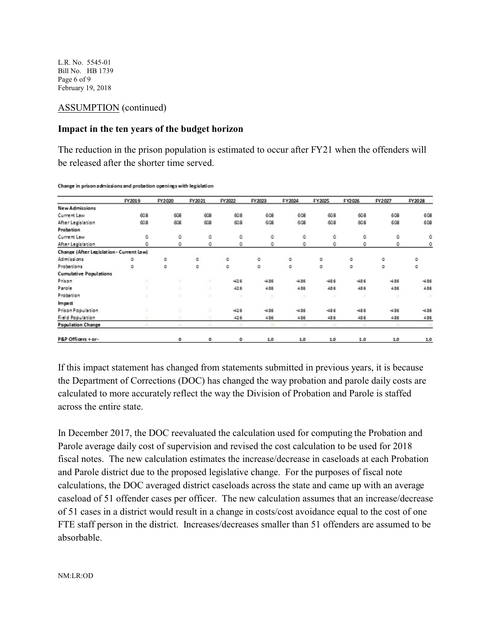L.R. No. 5545-01 Bill No. HB 1739 Page 6 of 9 February 19, 2018

### ASSUMPTION (continued)

### **Impact in the ten years of the budget horizon**

The reduction in the prison population is estimated to occur after FY21 when the offenders will be released after the shorter time served.

|                                          | FY2019 | FY2020 | FY2021 | FY2022 | FY2023  | FY2024  | FY2025 | FY2026 | FY2027  | FY2028        |
|------------------------------------------|--------|--------|--------|--------|---------|---------|--------|--------|---------|---------------|
| <b>New Admissions</b>                    |        |        |        |        |         |         |        |        |         |               |
| Current Law                              | 608    | 608    | 608    | 608    | 608     | 608     | 608    | 608    | 608     | 608           |
| After Legislation                        | 608    | 608    | 608    | 608    | 608     | 608     | 608    | 608    | 608     | 608           |
| Probation                                |        |        |        |        |         |         |        |        |         |               |
| Current Law                              | ٥      | ٥      | ٥      | ٥      | ٥       | ٥       | ٥      | ٥      | ٥       | ٥             |
| After Legislation                        | ٥      | ٥      | ٥      | ٥      | ٥       | ٥       | ٥      | ٥      | 0       | ٥             |
| Change (After Legislation - Current Law) |        |        |        |        |         |         |        |        |         |               |
| Admissions                               | о      | ٥      | ٥      | o      | о       | o       | o      | o      | o       | 0             |
| Probations                               | o      | o      | o      | ٥      | o       | o       | o      | o      | о       | 0             |
| <b>Cumulative Populations</b>            |        |        |        |        |         |         |        |        |         |               |
| Prison                                   |        |        |        | $-426$ | $-4.36$ | $-4.36$ | $-486$ | $-436$ | $-486$  | $-486$        |
| Parole                                   |        |        |        | 426    | 436     | 436     | 486    | 486    | 436     | 486           |
| Probation                                |        |        |        | ×      |         | ×       | ×      | ×      | ×       | $\mathcal{A}$ |
| Impact                                   |        |        |        |        |         |         |        |        |         |               |
| Prison Population                        |        |        |        | $-426$ | $-4.36$ | $-4.86$ | $-486$ | $-486$ | $-4.86$ | $-486$        |
| Field Population                         |        |        | ×      | 426    | 436     | 4.86    | 486    | 486    | 486     | 486           |
| <b>Population Change</b>                 |        |        |        |        |         |         |        |        |         |               |
| P&P Officers + or-                       |        | ٥      | ٥      | ٥      | 1.0     | 1.0     | 1.0    | 1.0    | 1.0     | 1.0           |

Change in prison admissions and probation openings with legislation

If this impact statement has changed from statements submitted in previous years, it is because the Department of Corrections (DOC) has changed the way probation and parole daily costs are calculated to more accurately reflect the way the Division of Probation and Parole is staffed across the entire state.

In December 2017, the DOC reevaluated the calculation used for computing the Probation and Parole average daily cost of supervision and revised the cost calculation to be used for 2018 fiscal notes. The new calculation estimates the increase/decrease in caseloads at each Probation and Parole district due to the proposed legislative change. For the purposes of fiscal note calculations, the DOC averaged district caseloads across the state and came up with an average caseload of 51 offender cases per officer. The new calculation assumes that an increase/decrease of 51 cases in a district would result in a change in costs/cost avoidance equal to the cost of one FTE staff person in the district. Increases/decreases smaller than 51 offenders are assumed to be absorbable.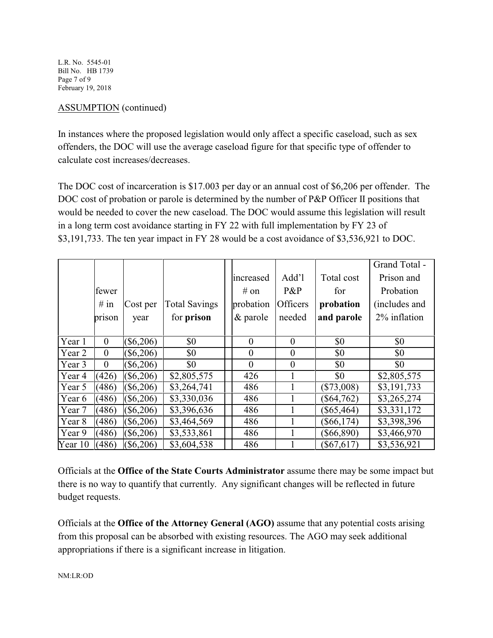L.R. No. 5545-01 Bill No. HB 1739 Page 7 of 9 February 19, 2018

# ASSUMPTION (continued)

In instances where the proposed legislation would only affect a specific caseload, such as sex offenders, the DOC will use the average caseload figure for that specific type of offender to calculate cost increases/decreases.

The DOC cost of incarceration is \$17.003 per day or an annual cost of \$6,206 per offender. The DOC cost of probation or parole is determined by the number of P&P Officer II positions that would be needed to cover the new caseload. The DOC would assume this legislation will result in a long term cost avoidance starting in FY 22 with full implementation by FY 23 of \$3,191,733. The ten year impact in FY 28 would be a cost avoidance of \$3,536,921 to DOC.

|         |                |             |                         |                |                |              | Grand Total - |
|---------|----------------|-------------|-------------------------|----------------|----------------|--------------|---------------|
|         |                |             |                         | increased      | Add'l          | Total cost   | Prison and    |
|         | fewer          |             |                         | # on           | P&P            | for          | Probation     |
|         | # in           | Cost per    | <b>Total Savings</b>    | probation      | Officers       | probation    | (includes and |
|         | prison         | year        | for prison              | $&$ parole     | needed         | and parole   | 2% inflation  |
|         |                |             |                         |                |                |              |               |
| Year 1  | $\theta$       | $(\$6,206)$ | \$0                     | $\theta$       | $\theta$       | \$0          | \$0           |
| Year 2  | $\overline{0}$ | $(\$6,206)$ | \$0                     | $\theta$       | $\theta$       | \$0          | \$0           |
| Year 3  | $\overline{0}$ | $(\$6,206)$ | \$0                     | $\overline{0}$ | $\overline{0}$ | \$0          | \$0           |
| Year 4  | (426)          | $(\$6,206)$ | $\overline{$}2,805,575$ | 426            | 1              | \$0          | \$2,805,575   |
| Year 5  | (486)          | $(\$6,206)$ | \$3,264,741             | 486            | 1              | $(\$73,008)$ | \$3,191,733   |
| Year 6  | (486)          | $(\$6,206)$ | \$3,330,036             | 486            | 1              | $(\$64,762)$ | \$3,265,274   |
| Year 7  | (486)          | $(\$6,206)$ | \$3,396,636             | 486            | 1              | $(\$65,464)$ | \$3,331,172   |
| Year 8  | (486)          | $(\$6,206)$ | \$3,464,569             | 486            | 1              | $(\$66,174)$ | \$3,398,396   |
| Year 9  | (486)          | $(\$6,206)$ | \$3,533,861             | 486            |                | $(\$66,890)$ | \$3,466,970   |
| Year 10 | (486)          | $(\$6,206)$ | \$3,604,538             | 486            |                | $(\$67,617)$ | \$3,536,921   |

Officials at the **Office of the State Courts Administrator** assume there may be some impact but there is no way to quantify that currently. Any significant changes will be reflected in future budget requests.

Officials at the **Office of the Attorney General (AGO)** assume that any potential costs arising from this proposal can be absorbed with existing resources. The AGO may seek additional appropriations if there is a significant increase in litigation.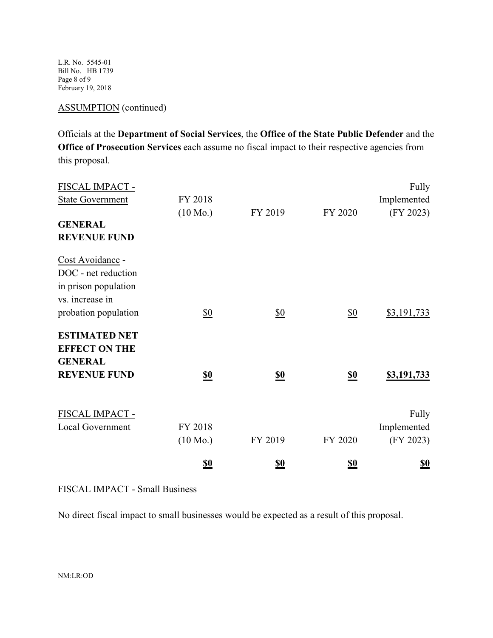L.R. No. 5545-01 Bill No. HB 1739 Page 8 of 9 February 19, 2018

# ASSUMPTION (continued)

Officials at the **Department of Social Services**, the **Office of the State Public Defender** and the **Office of Prosecution Services** each assume no fiscal impact to their respective agencies from this proposal.

| FISCAL IMPACT -         |                               |                               |                               | Fully       |
|-------------------------|-------------------------------|-------------------------------|-------------------------------|-------------|
| <b>State Government</b> | FY 2018                       |                               |                               | Implemented |
|                         | $(10 \text{ Mo.})$            | FY 2019                       | FY 2020                       | (FY 2023)   |
| <b>GENERAL</b>          |                               |                               |                               |             |
| <b>REVENUE FUND</b>     |                               |                               |                               |             |
| Cost Avoidance -        |                               |                               |                               |             |
| DOC - net reduction     |                               |                               |                               |             |
| in prison population    |                               |                               |                               |             |
| vs. increase in         |                               |                               |                               |             |
| probation population    | \$0                           | $\underline{\$0}$             | \$0                           | \$3,191,733 |
| <b>ESTIMATED NET</b>    |                               |                               |                               |             |
| <b>EFFECT ON THE</b>    |                               |                               |                               |             |
| <b>GENERAL</b>          |                               |                               |                               |             |
| <b>REVENUE FUND</b>     | $\underline{\underline{\$0}}$ | $\underline{\underline{\$0}}$ | $\underline{\underline{\$0}}$ | \$3,191,733 |
| FISCAL IMPACT -         |                               |                               |                               | Fully       |
| Local Government        | FY 2018                       |                               |                               | Implemented |
|                         | $(10 \text{ Mo.})$            | FY 2019                       | FY 2020                       | (FY 2023)   |
|                         |                               |                               |                               |             |
|                         | <u>so</u>                     | <u>\$0</u>                    | <u>so</u>                     | <u>\$0</u>  |

FISCAL IMPACT - Small Business

No direct fiscal impact to small businesses would be expected as a result of this proposal.